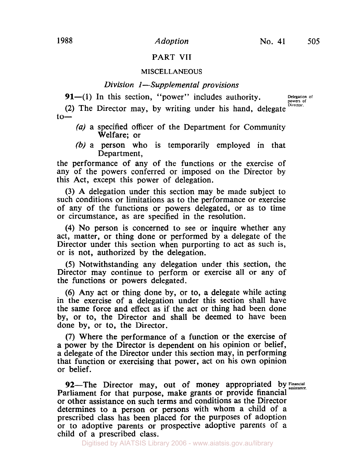# **PART VII**

#### **MISCELLANEOUS**

## *Division I-Supplemental provisions*

 $91-(1)$  In this section, "power" includes authority.

**Delegation of powers of Director.** 

(2) The Director may, by writing under his hand, delegate  $to-$ 

- (a) a specified officer of the Department for Community Welfare; or
- (b) a person who is temporarily employed in that Department,

the performance of any of the functions or the exercise of any of the powers conferred or imposed on the Director by this Act, except this power of delegation.

(3) A delegation under this section may be made subject to such conditions or limitations as to the performance or exercise of any of the functions or powers delegated, or as to time or circumstance, as are specified in the resolution.

(4) No person is concerned to see or inquire whether any act, matter, or thing done or performed by a delegate of the Director under this section when purporting to act as such is, or is not, authorized by the delegation.

*(5)* Notwithstanding any delegation under this section, the Director may continue to perform or exercise all or any of the functions or powers delegated.

(6) Any act or thing done by, or to, a delegate while acting in the exercise of a delegation under this section shall have the same force and effect as if the act or thing had been done by, or to, the Director and shall be deemed to have been done by, or to, the Director.

(7) Where the performance of a function or the exercise of a power by the Director is dependent on his opinion or belief, a delegate of the Director under this section may, in performing that function or exercising that power, act on his own opinion or belief.

92—The Director may, out of money appropriated by Financial Parliament for that purpose, make grants or provide financial or other assistance on such terms and conditions as the Director determines to a person or persons with whom a child of a prescribed class has been placed for the purposes of adoption or to adoptive parents or prospective adoptive parents of a child of a prescribed class.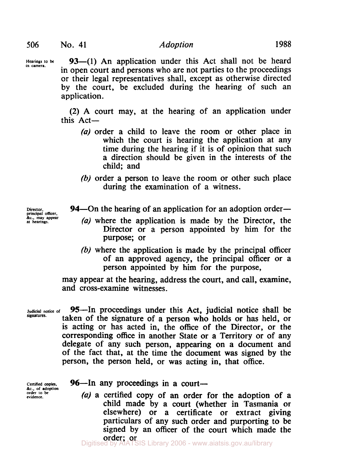Hearings to be **93**—(1) An application under this Act shall not be heard in open court and persons who are not parties to the proceedings or their legal representatives shall, except as otherwise directed by the court, be excluded during the hearing of such an application.

> (2) **A** court may, at the hearing of an application under this  $Act-$

- *(a)* order a child to leave the room or other place in which the court is hearing the application at any time during the hearing if it is of opinion that such a direction should be given in the interests of the child; and
- (b) order a person to leave the room or other such place during the examination of a witness.

**94—On the hearing of an application for an adoption order—** 

- *(a)* where the application is made by the Director, the Director or a person appointed by him for the purpose; or
- (b) where the application is made by the principal officer of an approved agency, the principal officer or a person appointed by him for the purpose,

may appear at the hearing, address the court, and call, examine, and cross-examine witnesses.

**signatures.** 

**Judicial notice of** 95-In proceedings under this Act, judicial notice shall be taken of the signature of a person who holds or has held, or is acting or has acted in, the office of the Director, or the corresponding office in another State or a Territory or of any delegate of any such person, appearing on a document and of the fact that, at the time the document was signed by the person, the person held, or was acting in, that office.

**Certified copies. &c., of adoption order to be evidence.** 

# 96-In any proceedings in a court-

*(a)* a certified copy of an order for the adoption of a child made by a court (whether in Tasmania or elsewhere) or a certificate or extract giving particulars of any such order and purporting to be signed by an officer of the court which made the order; or **order;** or Unit and the Digitised by AIATSIS Library 2006 - www.aiatsis.gov.au/library

**principal officer.**  *&c.,* **may appear at hearings.**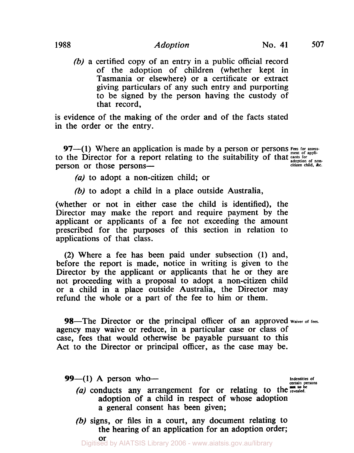# 1988 Adoption No. **41** *507*

(b) a certified copy of an entry in a public official record of the adoption of children (whether kept in Tasmania or elsewhere) or a certificate or extract giving particulars of any such entry and purporting to be signed by the person having the custody of that record,

is evidence of the making of the order and of the facts stated in the order or the entry.

97-(1) Where an application is made by a person or persons **Fees for assess**to the Director for a report relating to the suitability of that **cants** for a popperson or those persons-

(a) to adopt a non-citizen child; or

*(b)* to adopt a child in a place outside Australia,

(whether or not in either case the child is identified), the Director may make the report and require payment by the applicant or applicants of a fee not exceeding the amount prescribed for the purposes of this section in relation to applications of that class.

(2) Where a fee has been paid under subsection (1) and, before the report is made, notice in writing is given to the Director by the applicant or applicants that he or they are not proceeding with a proposal to adopt a non-citizen child or a child in a place outside Australia, the Director may refund the whole or a part of the fee to him or them.

98—The Director or the principal officer of an approved waiver of fees. agency may waive or reduce, in a particular case or class of case, fees that would otherwise be payable pursuant to this Act to the Director or principal officer, as the case may be.

 $99- (1)$  A person who-

**Indentities** of **certain** persons

- (a) conducts any arrangement for or relating to the **revealed**. adoption of a child in respect of whose adoption a general consent has been given;
- (b) signs, or files in a court, any document relating to the hearing of an application for an adoption order;

**or**<br>Digitised by AIATSIS Library 2006 - www.aiatsis.gov.au/library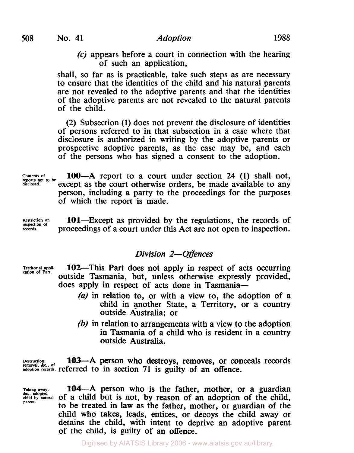**(c)** appears before a court in connection with the hearing of such an application,

shall, so far as is practicable, take such steps as are necessary to ensure that the identities of the child and his natural parents are not revealed to the adoptive parents and that the identities of the adoptive parents are not revealed to the natural parents of the child.

(2) Subsection **(1)** does not prevent the disclosure of identities of persons referred to in that subsection in a case where that disclosure is authorized in writing by the adoptive parents or prospective adoptive parents, as the case may be, and each of the persons who has signed a consent to the adoption.

100-A report to a court under section **24 (1)** shall not, except as the court otherwise orders, be made available to any person, including a party to the proceedings for the purposes of which the report is made. **reports not to be** 

**Restriction on** inspection of *records*.

**Contents of disclosed.** 

> 101—Except as provided by the regulations, the records of proceedings of a court under this Act are not open to inspection.

### *Division 2-Offences*

- 102-This Part does not apply in respect of acts occurring outside Tasmania, but, unless otherwise expressly provided, does apply in respect of acts done in Tasmania-**Territorial appli- cation of Part.** 
	- *(a)* in relation to, or with a view to, the adoption of a child in another State, a Territory, or a country outside Australia; or
	- (b) in relation to arrangements with a view to the adoption in Tasmania of a child who is resident in a country outside Australia.

Destruction,<br>removal, &c., of **adoption records.** referred to in section **71** is guilty of an offence. 103-A person who destroys, removes, or conceals records

**Taking away.** 

*Ac., Adopted*<br> *Child by natural* of a child but is not, by reason of an adoption of the child, 104-A person who is the father, mother, or a guardian to be treated in law as the father, mother, or guardian of the child who takes, leads, entices, or decoys the child away or detains the child, with intent to deprive an adoptive parent of the child, is guilty of an offence.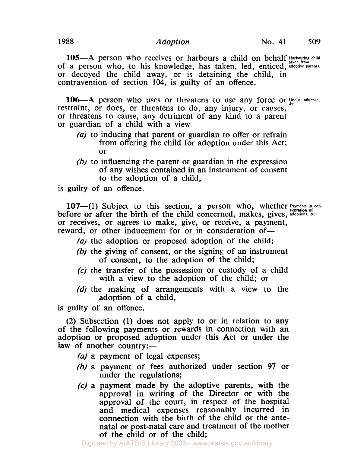105-A person who receives or harbours a child on behalf *Harbouring child* of a person who, to his knowledge, has taken, led, enticed, adoptive parents. or decoyed the child away, or is detaining the child, in contravention of section **104,** is guilty of an offence.

106-A person who uses or threatens to use any force or Undue influence. restraint, or does, or threatens to do, any injury, or causes, or threatens to cause, any detriment of any kind to a parent or guardian of a child with a view-

- $(a)$  to inducing that parent or guardian to offer or refrain from offering the child for adoption under this Act; or
- $(b)$  to influencing the parent or guardian in the expression of any wishes contained in an instrument of consent to the adoption of a child,

is guilty of an offence.

107-(1) Subject to this section, a person who, whether  $P_{\text{system of}}$  conbefore or after the birth of the child concerned, makes, gives, adoptions, &c. or receives, or agrees to make, give, or receive, a payment, reward, or other inducement for or in consideration of-

- (a) the adoption or proposed adoption of the child;
- (b) the giving of consent, or the signing of an instrument of consent, to the adoption of the child;
- **(c)** the transfer of the possession or custody of a child with a view to the adoption of the child; or
- (d) the making of arrangements with a view to the adoption of a child,

is guilty of an offence.

(2) Subsection (1) does not apply to or in relation to any of the following payments or rewards in connection with an adoption or proposed adoption under this Act or under the law of another country:—

(a) a payment of legal expenses;

- (b) a payment of fees authorized under section 97 or under the regulations;
- *(c)* a payment made by the adoptive parents, with the approval in writing of the Director or with the approval of the court, in respect of the hospital and medical expenses reasonably incurred in connection with the birth of the child or the antenatal or post-natal care and treatment of the mother of the child or of the child;

Digitised by AIATSIS Library 2006 - www.aiatsis.gov.au/library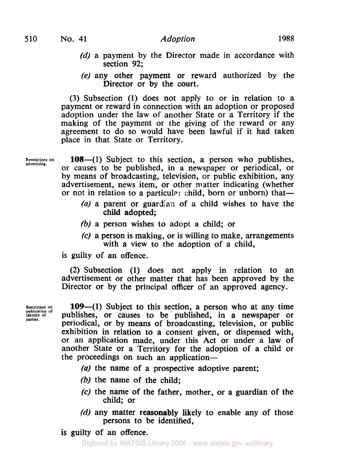- (d) a payment by the Director made in accordance with section **92;**
- (e) any other payment or reward authorized by the Director or by the court.

(3) Subsection **(1)** does not apply to or in relation to a payment or reward in connection with an adoption or proposed adoption under the law of another State or a Territory if the making of the payment or the giving of the reward or any agreement to do so would have been lawful if it had taken place in that State or Territory.

**Restrictions** 

**108—(1)** Subject to this section, a person who publishes, or causes to be published, in a newspaper or periodical, or by means of broadcasting, television, or public exhibition, any advertisement, news item, or other matter indicating (whether or not in relation to a particular child, born or unborn) that—

- *(a)* a parent or guardian of **a** child wishes to have the child adopted;
- (b) a person wishes to adopt a child; or
- **(c)** a person is making, or is willing to make, arrangements with a view to the adoption of a child,

is guilty of an offence.

**(2)** Subsection **(1)** does not apply in relation to an advertisement or other matter that has been approved by the Director or by the principal officer of an approved agency.

**Restriction publication of identity of panics.** 

**109-(1)** Subject to this section, a person who at any time publishes, or causes to be published, in a newspaper or periodical, or by means of broadcasting, television, or public exhibition in relation to a consent given, or dispensed with, or an application made, under this Act or under a law of another State or a Territory for the adoption of a child or the proceedings on such an application-

*(a)* the name of a prospective adoptive parent;

- (b) the name of the child:
- **(c)** the name of the father, mother, or a guardian of the child; or
- $(d)$  any matter reasonably likely to enable any of those persons to be identified,

is guilty of an offence.

Digitised by AIATSIS Library 2006 - www.aiatsis.gov.au/library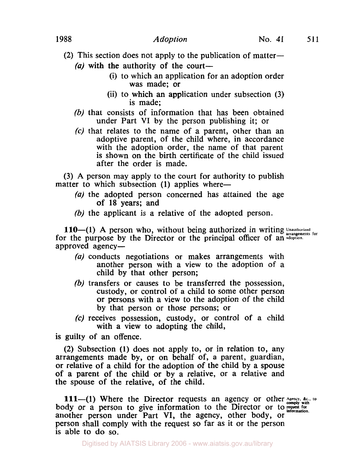- (2) This section does not apply to the publication of matter-(a) with the authority of the court-
	- (i) to which an application for an adoption order was made; or
	- (ii) to which an application under subsection (3) is made;
	- (b) that consists of information that has been obtained under Part **VI** by the person publishing it; or
	- (c) that relates to the name of a parent, other than an adoptive parent, of the child where, in accordance with the adoption order, the name of that parent is shown on the birth certificate of the child issued after the order is made.

(3) A person may apply to the court for authority to publish matter to which subsection (1) applies where-

- (a) the adopted person concerned has attained the age of **18** years; and
- (b) the applicant is a relative of the adopted person.

**110-(1)** A person who, without being authorized in writing Unauthorized for the purpose by the Director or the principal officer of an adoption. approved agency-

- (a) conducts negotiations or makes arrangements with another person with a view to the adoption of a child by that other person;
- (b) transfers or causes to be transferred the possession, custody, or control of a child to some other person or persons with a view to the adoption of the child by that person or those persons; or
- **(c)** receives possession, custody, or control of a child with a view to adopting the child,

is guilty of an offence.

(2) Subsection **(1)** does not apply to, or in relation to, any arrangements made by, or on behalf of, a parent, guardian, or relative of a child for the adoption of the child by a spouse of a parent of the child or by a relative, or a relative and the spouse of the relative, of the child.

**111—(1)** Where the Director requests an agency or other Agency,  $\delta_{\rm g}$ , to  $\overline{c}$  comply with  $\overline{c}$  where the Director requests an agency or center comply with body or a person to give information to the Director or to request for information. another person under Part **VI,** the agency, other body, or person shall comply with the request so far as it or the person is able to do so.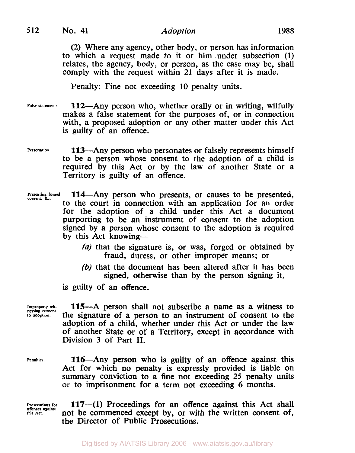**(2)** Where any agency, other body, or person has information to which a request made to it or him under subsection **(1)**  relates, the agency, body, or person, as the case may be, shall comply with the request within **21** days after it is made.

Penalty: Fine not exceeding 10 penalty units.

- False statements. **112**—Any person who, whether orally or in writing, wilfully makes a false statement for the purposes of, or in connection with, a proposed adoption or any other matter under this Act is guilty of an offence.
- **Personation.** 113-Any person who personates or falsely represents himself to be a person whose consent to the adoption of a child is required by this Act or by the law of another State or a Territory is guilty of an offence.
- Presenting forged **114**—Any person who presents, or causes to be presented, to the court in connection with an application for an order for the adoption of a child under this Act a document purporting to be an instrument of consent to the adoption signed by a person whose consent to the adoption is required by this Act knowing-
	- *(a)* that the signature is, or was, forged or obtained by fraud, duress, or other improper means; or
	- (b) that the document has been altered after it has been signed, otherwise than by the person signing it,

is guilty of an offence.

**Improperly witto adoption. nessing consent** 

115-A person shall not subscribe a name as a witness to the signature of a person to an instrument of consent to the adoption of a child, whether under this Act or under the law of another State or of a Territory, except in accordance with Division 3 of Part **II.** 

Penalties. **116**—Any person who is guilty of an offence against this Act for which no penalty is expressly provided is liable on summary conviction to a fine not exceeding **25** penalty units or to imprisonment for a term not exceeding 6 months.

**Prosecutions for this Act. offences against** 

117-(1) Proceedings for an offence against this Act shall not be commenced except by, or with the written consent of, the Director of Public Prosecutions.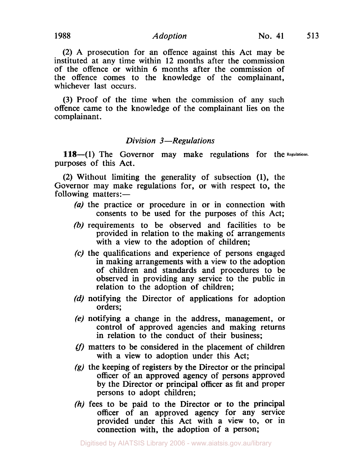#### **1988** *Adoption* **No. 41 513**

**(2)** A prosecution for an offence against this Act may be instituted at any time within **12** months after the commission of the offence or within 6 months after the commission of the offence comes to the knowledge of the complainant, whichever last occurs.

(3) Proof of the time when the commission of any such offence came to the knowledge of the complainant lies on the complainant.

#### *Division 3-Regulations*

**118-(1)** The Governor may make regulations for the Regulations. purposes of this Act.

(2) Without limiting the generality of subsection **(1),** the Governor may make regulations for, or with respect to, the following matters:-

- *(a)* the practice or procedure in or in connection with consents to be used for the purposes of this Act;
- (b) requirements to be observed and facilities to be provided in relation to the making *of* arrangements with a view to the adoption of children;
- *(c)* the qualifications and experience of persons engaged in making arrangements with a view to the adoption of children and standards and procedures to be observed in providing any service to the public in relation to the adoption of children;
- *(d)* notifying the Director of applications for adoption orders;
- *(e)* notifying a change in the address, management, or control of approved agencies and making returns in relation to the conduct of their business;
- **(f)** matters to be considered in the placement of children with a view to adoption under this Act;
- *(g)* the keeping of registers by the Director or the principal officer of an approved agency of persons approved by the Director or principal officer as fit and proper persons to adopt children;
- (h) fees to be paid to the Director or to the principal officer of an approved agency for any service provided under this Act with a view to, or in connection with, the adoption of a person;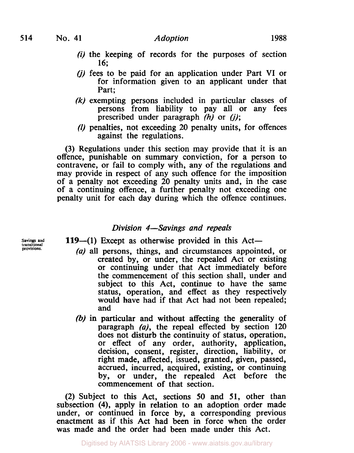- *(i)* the keeping of records for the purposes of section **16;**
- *(J)* fees to be paid for an application under Part VI or for information given to an applicant under that Part;
- *(k)* exempting persons included in particular classes of persons from liability to pay all or any fees prescribed under paragraph (h) or *(j);*
- *(I)* penalties, not exceeding 20 penalty units, for offences against the regulations.

(3) Regulations under this section may provide that it is an offence, punishable on summary conviction, for a person to contravene, or fail to comply with, any of the regulations and may provide in respect of any such offence for the imposition of a penalty not exceeding 20 penalty units and, in the case of a continuing offence, a further penalty not exceeding one penalty unit for each day during which the offence continues.

# *Division 4-Savings and repeals*

**provisions.** 

- Savings and **119**-(1) Except as otherwise provided in this Act-
	- *(a)* all persons, things, and circumstances appointed, or created by, or under, the repealed Act or existing or continuing under that Act immediately before the commencement of this section shall, under and subject to this Act, continue to have the same status, operation, and effect as they respectively would have had if that Act had not been repealed; and
	- (b) in particular and without affecting the generality of paragraph *(a),* the repeal effected by section **120**  does not disturb the continuity of status, operation, or effect of any order, authority, application, decision, consent, register, direction, liability, or right made, affected, issued, granted, given, passed, accrued, incurred, acquired, existing, or continuing by, or under, the repealed Act before the commencement of that section.

**(2)** Subject to this Act, sections **50** and **51,** other than subsection **(4),** apply in relation to an adoption order made under, or continued in force by, a corresponding previous enactment as if this Act had been in force when the order was made and the order had been made under this Act.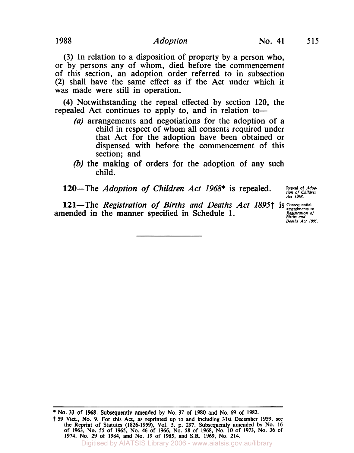(3) In relation to a disposition of property by a person who, or by persons any of whom, died before the commencement of this section, an adoption order referred to in subsection (2) shall have the same effect as if the Act under which it was made were still in operation.

**(4)** Notwithstanding the repeal effected by section **120,** the repealed Act continues to apply to, and in relation to-

- *(a)* arrangements and negotiations for the adoption of a child in respect of whom all consents required under that Act for the adoption have been obtained or dispensed with before the commencement of this section; and
- (b) the making of orders for the adoption of any such child.

120-The *Adoption of Children Act 1968*\* is repealed.

Repeal of *Adoption of Children*<br>*Act 1968*.

**121**—The *Registration of Births and Deaths Act 1895†* is Consequential **Consequents** to amended in the manner specified in Schedule 1.

*Registration of Births and Deaths Act 1895.* 

Digitised by AIATSIS Library 2006 - www.aiatsis.gov.au/library

**No. 33 of 1968. Subsequently amended by No. 37 of 1980 and No. 69 of 1982.** 

<sup>† 59</sup> Vict., No. 9. For this Act, as reprinted up to and including 31st December 1959, see<br>the Reprint of Statutes (1826-1959), Vol. 5. p. 297. Subsequently amended by No. 16<br>of 1963, No. 55 of 1965, No. 46 of 1966, No. 58 **1974, No. 29 of 1984, and No. 19 of 1985, and S.R. 1969, No. 214.**